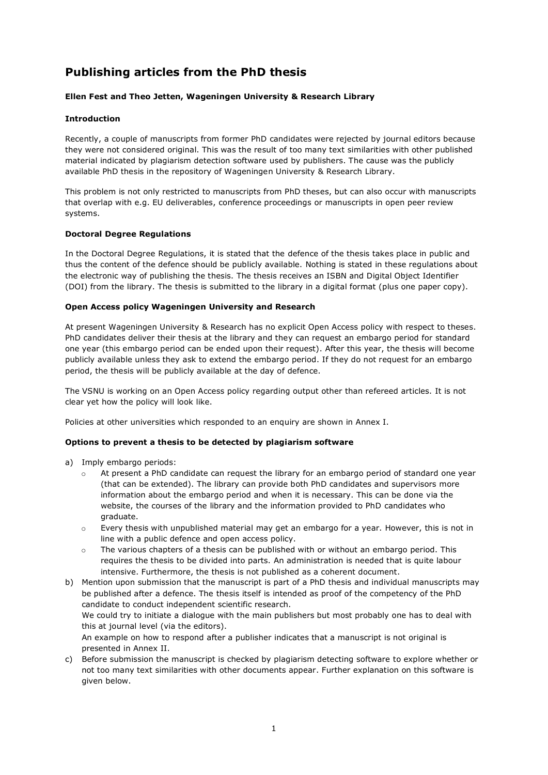# **Publishing articles from the PhD thesis**

### **Ellen Fest and Theo Jetten, Wageningen University & Research Library**

#### **Introduction**

Recently, a couple of manuscripts from former PhD candidates were rejected by journal editors because they were not considered original. This was the result of too many text similarities with other published material indicated by plagiarism detection software used by publishers. The cause was the publicly available PhD thesis in the repository of Wageningen University & Research Library.

This problem is not only restricted to manuscripts from PhD theses, but can also occur with manuscripts that overlap with e.g. EU deliverables, conference proceedings or manuscripts in open peer review systems.

#### **Doctoral Degree Regulations**

In the Doctoral Degree Regulations, it is stated that the defence of the thesis takes place in public and thus the content of the defence should be publicly available. Nothing is stated in these regulations about the electronic way of publishing the thesis. The thesis receives an ISBN and Digital Object Identifier (DOI) from the library. The thesis is submitted to the library in a digital format (plus one paper copy).

#### **Open Access policy Wageningen University and Research**

At present Wageningen University & Research has no explicit Open Access policy with respect to theses. PhD candidates deliver their thesis at the library and they can request an embargo period for standard one year (this embargo period can be ended upon their request). After this year, the thesis will become publicly available unless they ask to extend the embargo period. If they do not request for an embargo period, the thesis will be publicly available at the day of defence.

The VSNU is working on an Open Access policy regarding output other than refereed articles. It is not clear yet how the policy will look like.

Policies at other universities which responded to an enquiry are shown in Annex I.

#### **Options to prevent a thesis to be detected by plagiarism software**

- a) Imply embargo periods:
	- At present a PhD candidate can request the library for an embargo period of standard one year (that can be extended). The library can provide both PhD candidates and supervisors more information about the embargo period and when it is necessary. This can be done via the website, the courses of the library and the information provided to PhD candidates who graduate.
	- o Every thesis with unpublished material may get an embargo for a year. However, this is not in line with a public defence and open access policy.
	- $\circ$  The various chapters of a thesis can be published with or without an embargo period. This requires the thesis to be divided into parts. An administration is needed that is quite labour intensive. Furthermore, the thesis is not published as a coherent document.
- b) Mention upon submission that the manuscript is part of a PhD thesis and individual manuscripts may be published after a defence. The thesis itself is intended as proof of the competency of the PhD candidate to conduct independent scientific research. We could try to initiate a dialogue with the main publishers but most probably one has to deal with this at journal level (via the editors). An example on how to respond after a publisher indicates that a manuscript is not original is presented in Annex II.
- c) Before submission the manuscript is checked by plagiarism detecting software to explore whether or not too many text similarities with other documents appear. Further explanation on this software is given below.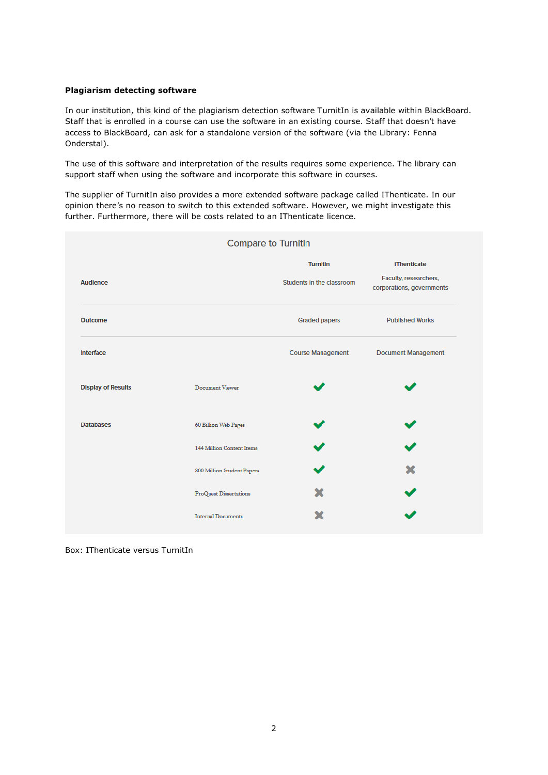#### **Plagiarism detecting software**

In our institution, this kind of the plagiarism detection software TurnitIn is available within BlackBoard. Staff that is enrolled in a course can use the software in an existing course. Staff that doesn't have access to BlackBoard, can ask for a standalone version of the software (via the Library: Fenna Onderstal).

The use of this software and interpretation of the results requires some experience. The library can support staff when using the software and incorporate this software in courses.

The supplier of TurnitIn also provides a more extended software package called IThenticate. In our opinion there's no reason to switch to this extended software. However, we might investigate this further. Furthermore, there will be costs related to an IThenticate licence.

| <b>IThenticate</b><br>Faculty, researchers,<br>corporations, governments |
|--------------------------------------------------------------------------|
|                                                                          |
|                                                                          |
| <b>Published Works</b>                                                   |
| <b>Document Management</b>                                               |
|                                                                          |
|                                                                          |
|                                                                          |
|                                                                          |
|                                                                          |
|                                                                          |
|                                                                          |

Box: IThenticate versus TurnitIn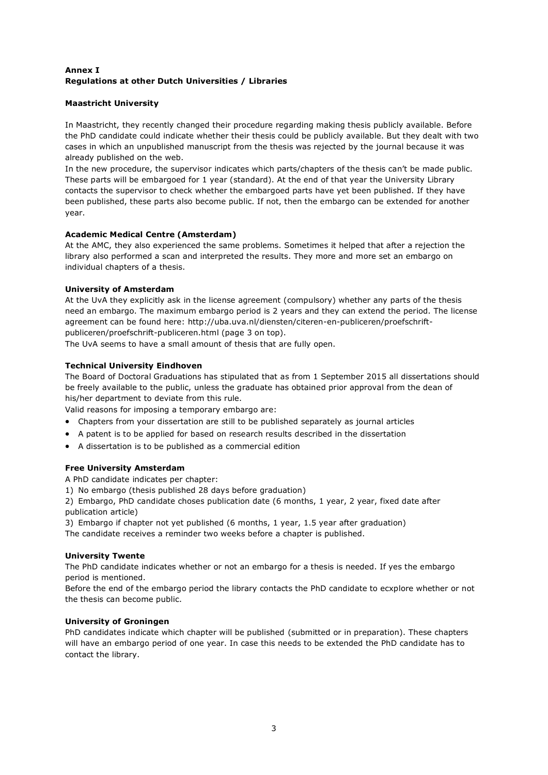# **Annex I Regulations at other Dutch Universities / Libraries**

# **Maastricht University**

In Maastricht, they recently changed their procedure regarding making thesis publicly available. Before the PhD candidate could indicate whether their thesis could be publicly available. But they dealt with two cases in which an unpublished manuscript from the thesis was rejected by the journal because it was already published on the web.

In the new procedure, the supervisor indicates which parts/chapters of the thesis can't be made public. These parts will be embargoed for 1 year (standard). At the end of that year the University Library contacts the supervisor to check whether the embargoed parts have yet been published. If they have been published, these parts also become public. If not, then the embargo can be extended for another year.

#### **Academic Medical Centre (Amsterdam)**

At the AMC, they also experienced the same problems. Sometimes it helped that after a rejection the library also performed a scan and interpreted the results. They more and more set an embargo on individual chapters of a thesis.

#### **University of Amsterdam**

At the UvA they explicitly ask in the license agreement (compulsory) whether any parts of the thesis need an embargo. The maximum embargo period is 2 years and they can extend the period. The license agreement can be found here: http://uba.uva.nl/diensten/citeren-en-publiceren/proefschriftpubliceren/proefschrift-publiceren.html (page 3 on top).

The UvA seems to have a small amount of thesis that are fully open.

# **Technical University Eindhoven**

The Board of Doctoral Graduations has stipulated that as from 1 September 2015 all dissertations should be freely available to the public, unless the graduate has obtained prior approval from the dean of his/her department to deviate from this rule.

Valid reasons for imposing a temporary embargo are:

- Chapters from your dissertation are still to be published separately as journal articles
- A patent is to be applied for based on research results described in the dissertation
- A dissertation is to be published as a commercial edition

#### **Free University Amsterdam**

A PhD candidate indicates per chapter:

1) No embargo (thesis published 28 days before graduation)

2) Embargo, PhD candidate choses publication date (6 months, 1 year, 2 year, fixed date after publication article)

3) Embargo if chapter not yet published (6 months, 1 year, 1.5 year after graduation)

The candidate receives a reminder two weeks before a chapter is published.

#### **University Twente**

The PhD candidate indicates whether or not an embargo for a thesis is needed. If yes the embargo period is mentioned.

Before the end of the embargo period the library contacts the PhD candidate to ecxplore whether or not the thesis can become public.

#### **University of Groningen**

PhD candidates indicate which chapter will be published (submitted or in preparation). These chapters will have an embargo period of one year. In case this needs to be extended the PhD candidate has to contact the library.